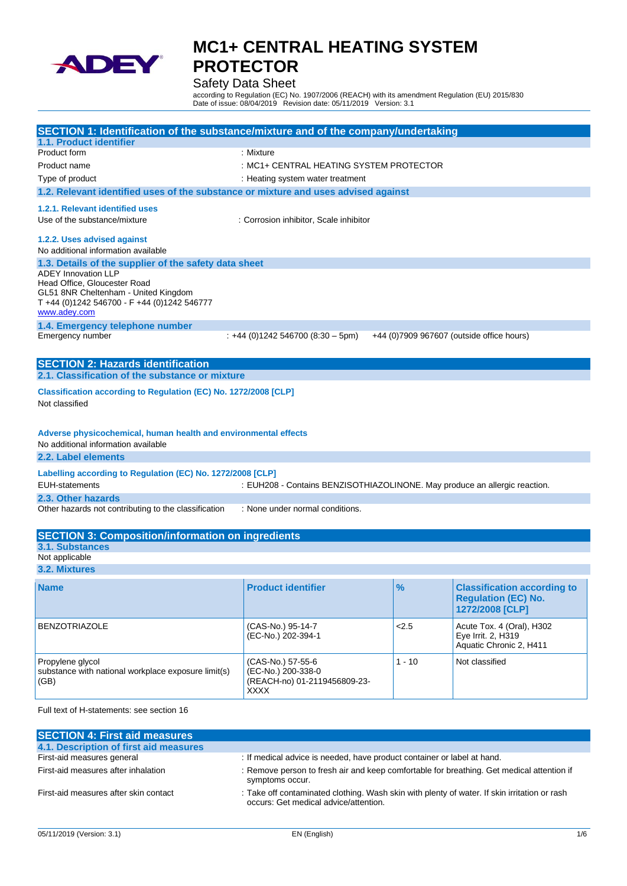

Safety Data Sheet

according to Regulation (EC) No. 1907/2006 (REACH) with its amendment Regulation (EU) 2015/830 Date of issue: 08/04/2019 Revision date: 05/11/2019 Version: 3.1

| SECTION 1: Identification of the substance/mixture and of the company/undertaking                                   |                                                                            |          |                                           |
|---------------------------------------------------------------------------------------------------------------------|----------------------------------------------------------------------------|----------|-------------------------------------------|
| 1.1. Product identifier                                                                                             |                                                                            |          |                                           |
| Product form                                                                                                        | : Mixture                                                                  |          |                                           |
| Product name                                                                                                        | : MC1+ CENTRAL HEATING SYSTEM PROTECTOR                                    |          |                                           |
| Type of product                                                                                                     | : Heating system water treatment                                           |          |                                           |
| 1.2. Relevant identified uses of the substance or mixture and uses advised against                                  |                                                                            |          |                                           |
| 1.2.1. Relevant identified uses                                                                                     |                                                                            |          |                                           |
| Use of the substance/mixture                                                                                        | : Corrosion inhibitor, Scale inhibitor                                     |          |                                           |
|                                                                                                                     |                                                                            |          |                                           |
| 1.2.2. Uses advised against                                                                                         |                                                                            |          |                                           |
| No additional information available                                                                                 |                                                                            |          |                                           |
| 1.3. Details of the supplier of the safety data sheet<br><b>ADEY Innovation LLP</b><br>Head Office, Gloucester Road |                                                                            |          |                                           |
| GL51 8NR Cheltenham - United Kingdom<br>T +44 (0)1242 546700 - F +44 (0)1242 546777                                 |                                                                            |          |                                           |
| www.adey.com                                                                                                        |                                                                            |          |                                           |
| 1.4. Emergency telephone number                                                                                     |                                                                            |          |                                           |
| Emergency number                                                                                                    | : +44 (0)1242 546700 (8:30 - 5pm)                                          |          | +44 (0)7909 967607 (outside office hours) |
|                                                                                                                     |                                                                            |          |                                           |
| <b>SECTION 2: Hazards identification</b><br>2.1. Classification of the substance or mixture                         |                                                                            |          |                                           |
|                                                                                                                     |                                                                            |          |                                           |
| Classification according to Regulation (EC) No. 1272/2008 [CLP]<br>Not classified                                   |                                                                            |          |                                           |
|                                                                                                                     |                                                                            |          |                                           |
| Adverse physicochemical, human health and environmental effects<br>No additional information available              |                                                                            |          |                                           |
| 2.2. Label elements                                                                                                 |                                                                            |          |                                           |
|                                                                                                                     |                                                                            |          |                                           |
| Labelling according to Regulation (EC) No. 1272/2008 [CLP]<br><b>EUH-statements</b>                                 | : EUH208 - Contains BENZISOTHIAZOLINONE. May produce an allergic reaction. |          |                                           |
| 2.3. Other hazards                                                                                                  |                                                                            |          |                                           |
| Other hazards not contributing to the classification                                                                | : None under normal conditions.                                            |          |                                           |
|                                                                                                                     |                                                                            |          |                                           |
| <b>SECTION 3: Composition/information on ingredients</b>                                                            |                                                                            |          |                                           |
| <b>3.1. Substances</b>                                                                                              |                                                                            |          |                                           |
| Not applicable                                                                                                      |                                                                            |          |                                           |
| 3.2. Mixtures                                                                                                       |                                                                            |          |                                           |
| <b>Name</b>                                                                                                         | <b>Product identifier</b>                                                  | %        | <b>Classification according to</b>        |
|                                                                                                                     |                                                                            |          | <b>Regulation (EC) No.</b>                |
|                                                                                                                     |                                                                            |          | 1272/2008 [CLP]                           |
| <b>BENZOTRIAZOLE</b>                                                                                                | (CAS-No.) 95-14-7                                                          | 2.5      | Acute Tox. 4 (Oral), H302                 |
|                                                                                                                     | (EC-No.) 202-394-1                                                         |          | Eye Irrit. 2, H319                        |
|                                                                                                                     |                                                                            |          | Aquatic Chronic 2, H411                   |
| Propylene glycol                                                                                                    | (CAS-No.) 57-55-6                                                          | $1 - 10$ | Not classified                            |
| substance with national workplace exposure limit(s)                                                                 | (EC-No.) 200-338-0                                                         |          |                                           |
| (GB)                                                                                                                | (REACH-no) 01-2119456809-23-<br><b>XXXX</b>                                |          |                                           |

Full text of H-statements: see section 16

| <b>SECTION 4: First aid measures</b>   |                                                                                                                                       |
|----------------------------------------|---------------------------------------------------------------------------------------------------------------------------------------|
| 4.1. Description of first aid measures |                                                                                                                                       |
| First-aid measures general             | : If medical advice is needed, have product container or label at hand.                                                               |
| First-aid measures after inhalation    | : Remove person to fresh air and keep comfortable for breathing. Get medical attention if<br>symptoms occur.                          |
| First-aid measures after skin contact  | : Take off contaminated clothing. Wash skin with plenty of water. If skin irritation or rash<br>occurs: Get medical advice/attention. |
|                                        |                                                                                                                                       |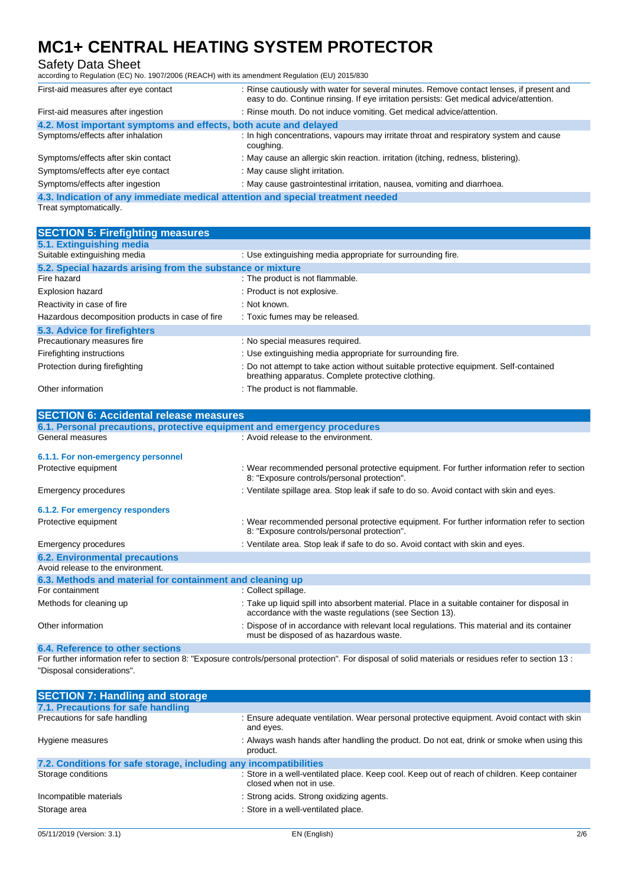## Safety Data Sheet

according to Regulation (EC) No. 1907/2006 (REACH) with its amendment Regulation (EU) 2015/830

| First-aid measures after eye contact                             | : Rinse cautiously with water for several minutes. Remove contact lenses, if present and<br>easy to do. Continue rinsing. If eye irritation persists: Get medical advice/attention. |
|------------------------------------------------------------------|-------------------------------------------------------------------------------------------------------------------------------------------------------------------------------------|
| First-aid measures after ingestion                               | : Rinse mouth. Do not induce vomiting. Get medical advice/attention.                                                                                                                |
| 4.2. Most important symptoms and effects, both acute and delayed |                                                                                                                                                                                     |
| Symptoms/effects after inhalation                                | : In high concentrations, vapours may irritate throat and respiratory system and cause<br>coughing.                                                                                 |
| Symptoms/effects after skin contact                              | : May cause an allergic skin reaction. irritation (itching, redness, blistering).                                                                                                   |
| Symptoms/effects after eye contact                               | : May cause slight irritation.                                                                                                                                                      |
| Symptoms/effects after ingestion                                 | : May cause gastrointestinal irritation, nausea, vomiting and diarrhoea.                                                                                                            |
|                                                                  | 4.3. Indication of any immediate medical attention and special treatment needed                                                                                                     |

Treat symptomatically.

| <b>SECTION 5: Firefighting measures</b>                                  |                                                                                                                                             |
|--------------------------------------------------------------------------|---------------------------------------------------------------------------------------------------------------------------------------------|
| 5.1. Extinguishing media                                                 |                                                                                                                                             |
| Suitable extinguishing media                                             | : Use extinguishing media appropriate for surrounding fire.                                                                                 |
| 5.2. Special hazards arising from the substance or mixture               |                                                                                                                                             |
| Fire hazard                                                              | : The product is not flammable.                                                                                                             |
| <b>Explosion hazard</b>                                                  | : Product is not explosive.                                                                                                                 |
| Reactivity in case of fire                                               | : Not known.                                                                                                                                |
| Hazardous decomposition products in case of fire                         | : Toxic fumes may be released.                                                                                                              |
| 5.3. Advice for firefighters                                             |                                                                                                                                             |
| Precautionary measures fire                                              | : No special measures required.                                                                                                             |
| Firefighting instructions                                                | : Use extinguishing media appropriate for surrounding fire.                                                                                 |
| Protection during firefighting                                           | : Do not attempt to take action without suitable protective equipment. Self-contained<br>breathing apparatus. Complete protective clothing. |
| Other information                                                        | : The product is not flammable.                                                                                                             |
|                                                                          |                                                                                                                                             |
| <b>SECTION 6: Accidental release measures</b>                            |                                                                                                                                             |
| 6.1. Personal precautions, protective equipment and emergency procedures |                                                                                                                                             |
| General measures                                                         | : Avoid release to the environment.                                                                                                         |
| 6.1.1. For non-emergency personnel                                       |                                                                                                                                             |
| Protective equipment                                                     | : Wear recommended personal protective equipment. For further information refer to section<br>8: "Exposure controls/personal protection".   |

| Emergency procedures                                      | : Ventilate spillage area. Stop leak if safe to do so. Avoid contact with skin and eyes.                                                                 |
|-----------------------------------------------------------|----------------------------------------------------------------------------------------------------------------------------------------------------------|
| 6.1.2. For emergency responders                           |                                                                                                                                                          |
| Protective equipment                                      | : Wear recommended personal protective equipment. For further information refer to section<br>8: "Exposure controls/personal protection".                |
| Emergency procedures                                      | : Ventilate area. Stop leak if safe to do so. Avoid contact with skin and eyes.                                                                          |
| <b>6.2. Environmental precautions</b>                     |                                                                                                                                                          |
| Avoid release to the environment.                         |                                                                                                                                                          |
| 6.3. Methods and material for containment and cleaning up |                                                                                                                                                          |
| For containment                                           | : Collect spillage.                                                                                                                                      |
| Methods for cleaning up                                   | : Take up liquid spill into absorbent material. Place in a suitable container for disposal in<br>accordance with the waste regulations (see Section 13). |
| Other information                                         | : Dispose of in accordance with relevant local regulations. This material and its container                                                              |

### **6.4. Reference to other sections**

For further information refer to section 8: "Exposure controls/personal protection". For disposal of solid materials or residues refer to section 13 : "Disposal considerations".

must be disposed of as hazardous waste.

| <b>SECTION 7: Handling and storage</b>                            |                                                                                                                         |
|-------------------------------------------------------------------|-------------------------------------------------------------------------------------------------------------------------|
| 7.1. Precautions for safe handling                                |                                                                                                                         |
| Precautions for safe handling                                     | : Ensure adequate ventilation. Wear personal protective equipment. Avoid contact with skin<br>and eyes.                 |
| Hygiene measures                                                  | : Always wash hands after handling the product. Do not eat, drink or smoke when using this<br>product.                  |
| 7.2. Conditions for safe storage, including any incompatibilities |                                                                                                                         |
| Storage conditions                                                | : Store in a well-ventilated place. Keep cool. Keep out of reach of children. Keep container<br>closed when not in use. |
| Incompatible materials                                            | : Strong acids. Strong oxidizing agents.                                                                                |
| Storage area                                                      | : Store in a well-ventilated place.                                                                                     |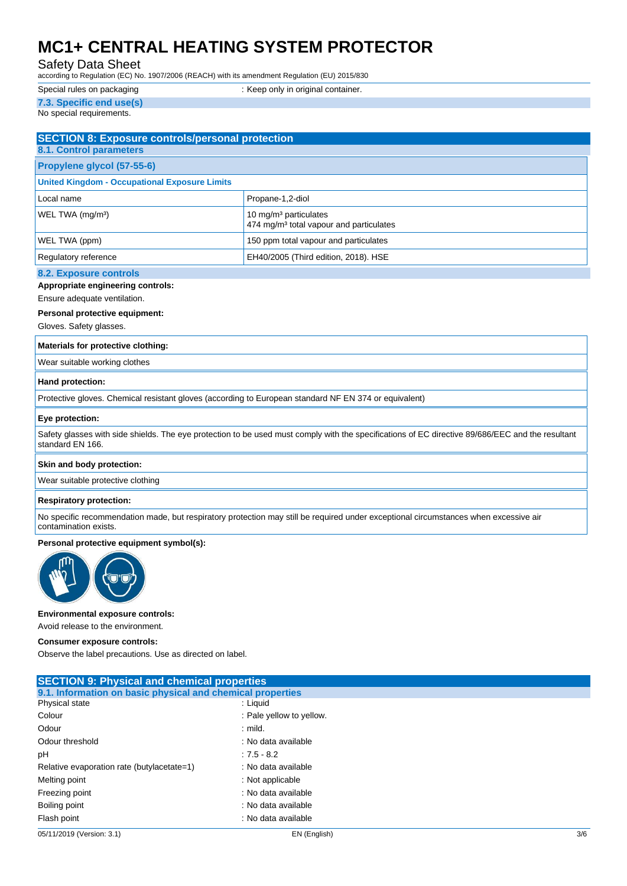## Safety Data Sheet

according to Regulation (EC) No. 1907/2006 (REACH) with its amendment Regulation (EU) 2015/830

| Special rules on packaging | : Keep only in original container. |  |
|----------------------------|------------------------------------|--|
| 7.3. Specific end use(s)   |                                    |  |

No special requirements.

| <b>SECTION 8: Exposure controls/personal protection</b> |                                                                                          |
|---------------------------------------------------------|------------------------------------------------------------------------------------------|
| <b>8.1. Control parameters</b>                          |                                                                                          |
| Propylene glycol (57-55-6)                              |                                                                                          |
| <b>United Kingdom - Occupational Exposure Limits</b>    |                                                                                          |
| Local name                                              | Propane-1,2-diol                                                                         |
| WEL TWA (mg/m <sup>3</sup> )                            | 10 mg/m <sup>3</sup> particulates<br>474 mg/m <sup>3</sup> total vapour and particulates |
| WEL TWA (ppm)                                           | 150 ppm total vapour and particulates                                                    |
| Regulatory reference                                    | EH40/2005 (Third edition, 2018). HSE                                                     |
| $\sim$ $\sim$ $\sim$                                    |                                                                                          |

#### **8.2. Exposure controls**

#### **Appropriate engineering controls:**

Ensure adequate ventilation.

### **Personal protective equipment:**

Gloves. Safety glasses.

#### **Materials for protective clothing:**

Wear suitable working clothes

#### **Hand protection:**

Protective gloves. Chemical resistant gloves (according to European standard NF EN 374 or equivalent)

#### **Eye protection:**

Safety glasses with side shields. The eye protection to be used must comply with the specifications of EC directive 89/686/EEC and the resultant standard EN 166.

#### **Skin and body protection:**

Wear suitable protective clothing

#### **Respiratory protection:**

No specific recommendation made, but respiratory protection may still be required under exceptional circumstances when excessive air contamination exists.

#### **Personal protective equipment symbol(s):**



#### **Environmental exposure controls:**

Avoid release to the environment.

#### **Consumer exposure controls:**

Observe the label precautions. Use as directed on label.

| <b>SECTION 9: Physical and chemical properties</b>         |                          |     |
|------------------------------------------------------------|--------------------------|-----|
| 9.1. Information on basic physical and chemical properties |                          |     |
| Physical state                                             | : Liquid                 |     |
| Colour                                                     | : Pale yellow to yellow. |     |
| Odour                                                      | $:$ mild.                |     |
| Odour threshold                                            | : No data available      |     |
| рH                                                         | $: 7.5 - 8.2$            |     |
| Relative evaporation rate (butylacetate=1)                 | : No data available      |     |
| Melting point                                              | : Not applicable         |     |
| Freezing point                                             | : No data available      |     |
| Boiling point                                              | : No data available      |     |
| Flash point                                                | : No data available      |     |
| 05/11/2019 (Version: 3.1)                                  | EN (English)             | 3/6 |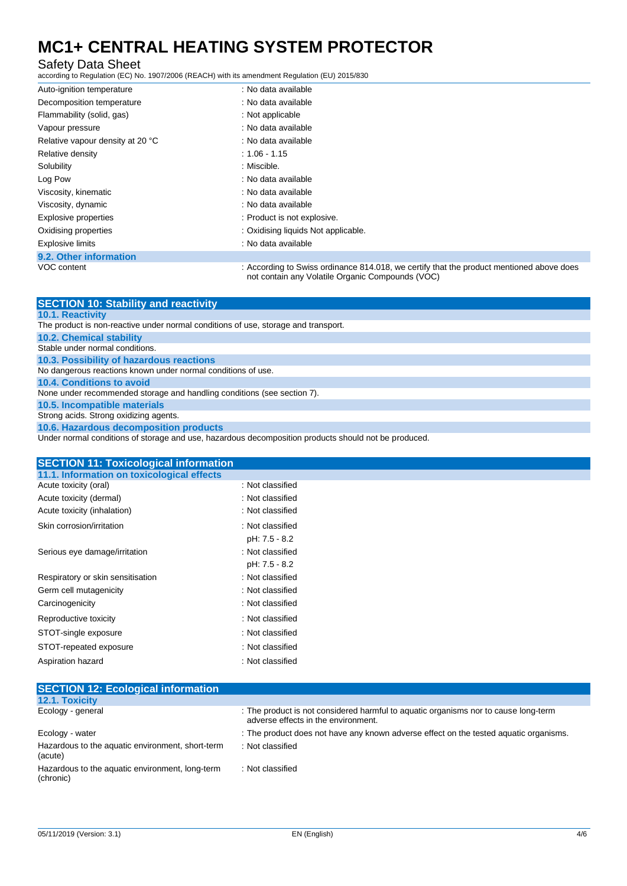## Safety Data Sheet

according to Regulation (EC) No. 1907/2006 (REACH) with its amendment Regulation (EU) 2015/830

| Auto-ignition temperature        | : No data available                                                                                                                          |
|----------------------------------|----------------------------------------------------------------------------------------------------------------------------------------------|
| Decomposition temperature        | : No data available                                                                                                                          |
| Flammability (solid, gas)        | : Not applicable                                                                                                                             |
| Vapour pressure                  | : No data available                                                                                                                          |
| Relative vapour density at 20 °C | : No data available                                                                                                                          |
| Relative density                 | $: 1.06 - 1.15$                                                                                                                              |
| Solubility                       | : Miscible.                                                                                                                                  |
| Log Pow                          | : No data available                                                                                                                          |
| Viscosity, kinematic             | : No data available                                                                                                                          |
| Viscosity, dynamic               | : No data available                                                                                                                          |
| <b>Explosive properties</b>      | : Product is not explosive.                                                                                                                  |
| Oxidising properties             | : Oxidising liquids Not applicable.                                                                                                          |
| <b>Explosive limits</b>          | : No data available                                                                                                                          |
| 9.2. Other information           |                                                                                                                                              |
| VOC content                      | : According to Swiss ordinance 814.018, we certify that the product mentioned above does<br>not contain any Volatile Organic Compounds (VOC) |

| <b>SECTION 10: Stability and reactivity</b>                                                          |
|------------------------------------------------------------------------------------------------------|
| <b>10.1. Reactivity</b>                                                                              |
| The product is non-reactive under normal conditions of use, storage and transport.                   |
| <b>10.2. Chemical stability</b>                                                                      |
| Stable under normal conditions.                                                                      |
| 10.3. Possibility of hazardous reactions                                                             |
| No dangerous reactions known under normal conditions of use.                                         |
| 10.4. Conditions to avoid                                                                            |
| None under recommended storage and handling conditions (see section 7).                              |
| 10.5. Incompatible materials                                                                         |
| Strong acids. Strong oxidizing agents.                                                               |
| 10.6. Hazardous decomposition products                                                               |
| Under normal conditions of storage and use, hazardous decomposition products should not be produced. |

| <b>SECTION 11: Toxicological information</b> |                  |  |
|----------------------------------------------|------------------|--|
| 11.1. Information on toxicological effects   |                  |  |
| Acute toxicity (oral)                        | : Not classified |  |
| Acute toxicity (dermal)                      | : Not classified |  |
| Acute toxicity (inhalation)                  | : Not classified |  |
| Skin corrosion/irritation                    | : Not classified |  |
|                                              | pH: 7.5 - 8.2    |  |
| Serious eye damage/irritation                | : Not classified |  |
|                                              | pH: 7.5 - 8.2    |  |
| Respiratory or skin sensitisation            | : Not classified |  |
| Germ cell mutagenicity                       | : Not classified |  |
| Carcinogenicity                              | : Not classified |  |
| Reproductive toxicity                        | : Not classified |  |
| STOT-single exposure                         | : Not classified |  |
| STOT-repeated exposure                       | : Not classified |  |
| Aspiration hazard                            | : Not classified |  |

| <b>SECTION 12: Ecological information</b>                    |                                                                                                                            |
|--------------------------------------------------------------|----------------------------------------------------------------------------------------------------------------------------|
| 12.1. Toxicity                                               |                                                                                                                            |
| Ecology - general                                            | : The product is not considered harmful to aquatic organisms nor to cause long-term<br>adverse effects in the environment. |
| Ecology - water                                              | : The product does not have any known adverse effect on the tested aguatic organisms.                                      |
| Hazardous to the aquatic environment, short-term<br>(acute)  | : Not classified                                                                                                           |
| Hazardous to the aquatic environment, long-term<br>(chronic) | : Not classified                                                                                                           |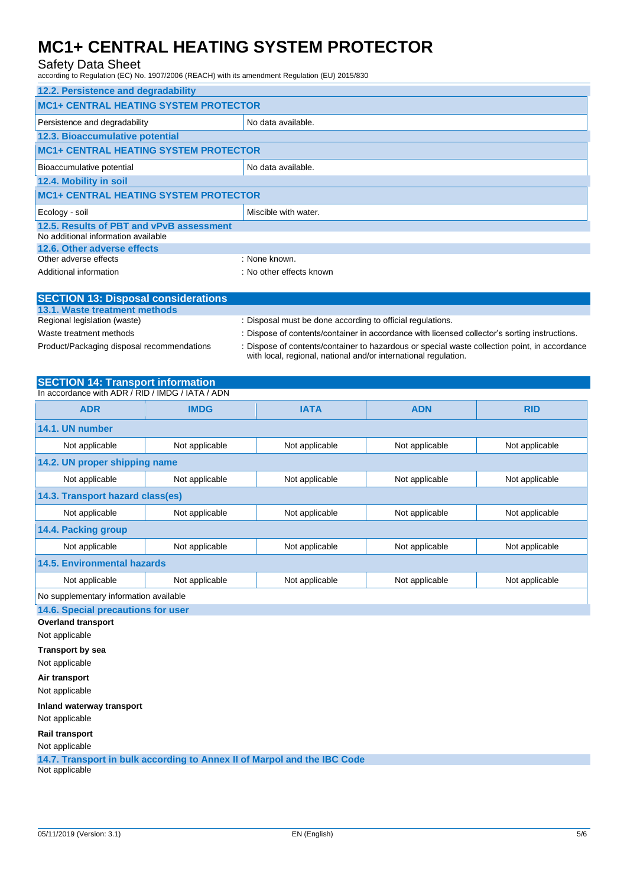## Safety Data Sheet

according to Regulation (EC) No. 1907/2006 (REACH) with its amendment Regulation (EU) 2015/830

| 12.2. Persistence and degradability          |                          |  |
|----------------------------------------------|--------------------------|--|
| <b>MC1+ CENTRAL HEATING SYSTEM PROTECTOR</b> |                          |  |
| Persistence and degradability                | No data available.       |  |
| 12.3. Bioaccumulative potential              |                          |  |
| <b>MC1+ CENTRAL HEATING SYSTEM PROTECTOR</b> |                          |  |
| Bioaccumulative potential                    | No data available.       |  |
| 12.4. Mobility in soil                       |                          |  |
| <b>MC1+ CENTRAL HEATING SYSTEM PROTECTOR</b> |                          |  |
| Ecology - soil                               | Miscible with water.     |  |
| 12.5. Results of PBT and vPvB assessment     |                          |  |
| No additional information available          |                          |  |
| 12.6. Other adverse effects                  |                          |  |
| Other adverse effects                        | : None known.            |  |
| Additional information                       | : No other effects known |  |

| <b>SECTION 13: Disposal considerations</b> |                                                                                                                                                                  |
|--------------------------------------------|------------------------------------------------------------------------------------------------------------------------------------------------------------------|
| 13.1. Waste treatment methods              |                                                                                                                                                                  |
| Regional legislation (waste)               | : Disposal must be done according to official regulations.                                                                                                       |
| Waste treatment methods                    | : Dispose of contents/container in accordance with licensed collector's sorting instructions.                                                                    |
| Product/Packaging disposal recommendations | : Dispose of contents/container to hazardous or special waste collection point, in accordance<br>with local, regional, national and/or international regulation. |

#### **SECTION 14: Transport information** In accordance with ADR / RID / IMDG / IATA / ADN

| III accoluatice with ADR / RID / INIDG / IATA / ADN |                |                |                |                |  |
|-----------------------------------------------------|----------------|----------------|----------------|----------------|--|
| <b>ADR</b>                                          | <b>IMDG</b>    | <b>IATA</b>    | <b>ADN</b>     | <b>RID</b>     |  |
| 14.1. UN number                                     |                |                |                |                |  |
| Not applicable                                      | Not applicable | Not applicable | Not applicable | Not applicable |  |
| 14.2. UN proper shipping name                       |                |                |                |                |  |
| Not applicable                                      | Not applicable | Not applicable | Not applicable | Not applicable |  |
| 14.3. Transport hazard class(es)                    |                |                |                |                |  |
| Not applicable                                      | Not applicable | Not applicable | Not applicable | Not applicable |  |
| 14.4. Packing group                                 |                |                |                |                |  |
| Not applicable                                      | Not applicable | Not applicable | Not applicable | Not applicable |  |
| 14.5. Environmental hazards                         |                |                |                |                |  |
| Not applicable                                      | Not applicable | Not applicable | Not applicable | Not applicable |  |
| No supplementary information available              |                |                |                |                |  |
| 14.6. Special precautions for user                  |                |                |                |                |  |
| <b>Overland transport</b>                           |                |                |                |                |  |
| Not applicable                                      |                |                |                |                |  |
| <b>Transport by sea</b>                             |                |                |                |                |  |

Not applicable

**Air transport**

Not applicable

**Inland waterway transport**

Not applicable

**Rail transport**

Not applicable

**14.7. Transport in bulk according to Annex II of Marpol and the IBC Code**

Not applicable